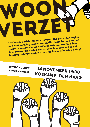## ┪ The housing crisis affects everyone. The prices for buying

and renting living spaces are unaffordable for any norma<sup>l</sup> person and speculators and landlords are profiting from this. Meanwhile livable houses remain empty and socia<sup>l</sup> housing is devastated. It's time for humane housing policy!